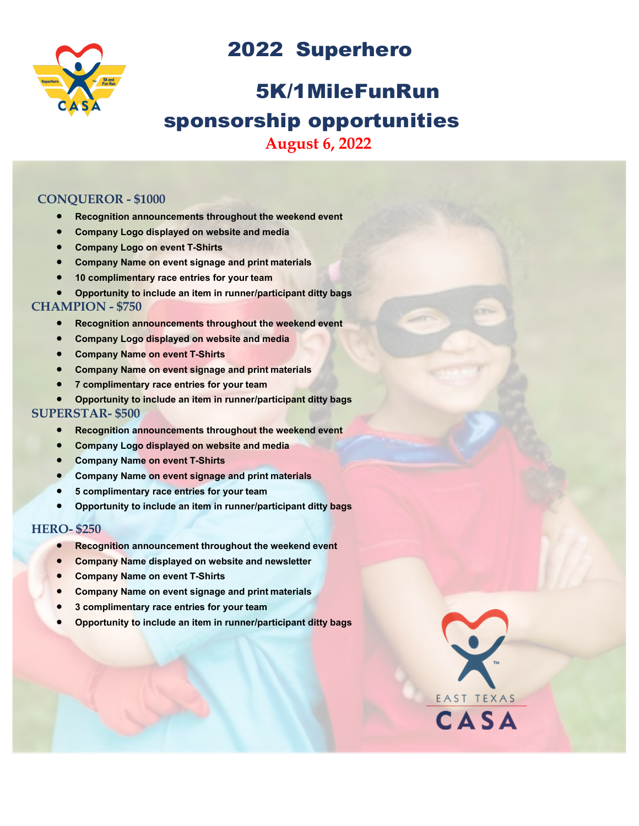



## 5K/1MileFunRun sponsorship opportunities **August 6, 2022**

#### **CONQUEROR - \$1000**

- **Recognition announcements throughout the weekend event**
- **Company Logo displayed on website and media**
- **Company Logo on event T-Shirts**
- **Company Name on event signage and print materials**
- **10 complimentary race entries for your team**
- **Opportunity to include an item in runner/participant ditty bags**

#### **CHAMPION - \$750**

- **Recognition announcements throughout the weekend event**
- **Company Logo displayed on website and media**
- **Company Name on event T-Shirts**
- **Company Name on event signage and print materials**
- **7 complimentary race entries for your team**
- **Opportunity to include an item in runner/participant ditty bags**

#### **SUPERSTAR- \$500**

- **Recognition announcements throughout the weekend event**
- **Company Logo displayed on website and media**
- **Company Name on event T-Shirts**
- **Company Name on event signage and print materials**
- **5 complimentary race entries for your team**
- **Opportunity to include an item in runner/participant ditty bags**

#### **HERO- \$250**

- **Recognition announcement throughout the weekend event**
- **Company Name displayed on website and newsletter**
- **Company Name on event T-Shirts**
- **Company Name on event signage and print materials**
- **3 complimentary race entries for your team**
- **Opportunity to include an item in runner/participant ditty bags**

EAST TEXAS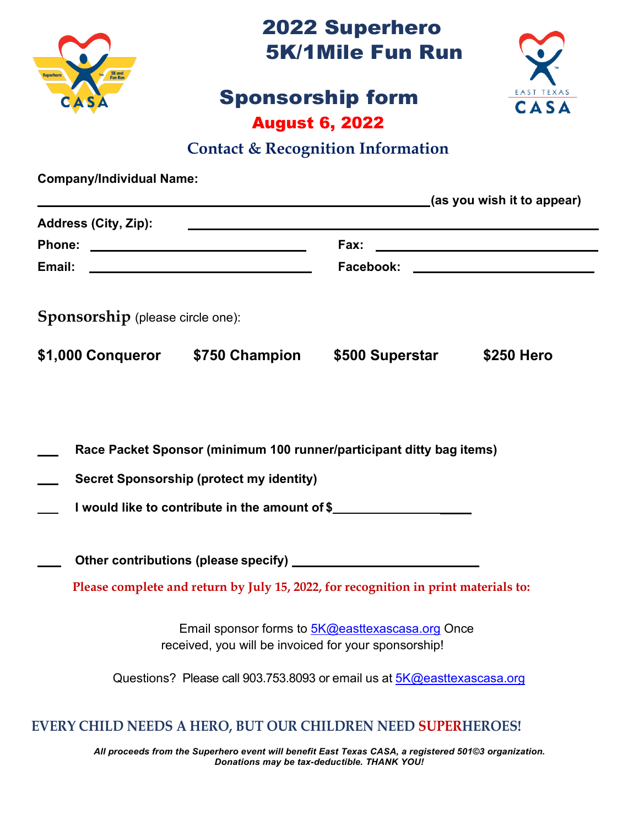

2022 Superhero 5K/1Mile Fun Run

# Sponsorship form August 6, 2022



### **Contact & Recognition Information**

| <b>Company/Individual Name:</b>  |                                                      |                                                                                                                                                                                                                                |            |
|----------------------------------|------------------------------------------------------|--------------------------------------------------------------------------------------------------------------------------------------------------------------------------------------------------------------------------------|------------|
| <b>Address (City, Zip):</b>      |                                                      | (as you wish it to appear)<br><u> 1989 - Johann Stoff, deutscher Stoff, der Stoff, der Stoff, der Stoff, der Stoff, der Stoff, der Stoff, der S</u>                                                                            |            |
|                                  |                                                      | Fax:                                                                                                                                                                                                                           |            |
|                                  |                                                      | Facebook: New York State State State State State State State State State State State State State State State State State State State State State State State State State State State State State State State State State State |            |
| Sponsorship (please circle one): |                                                      |                                                                                                                                                                                                                                |            |
| \$1,000 Conqueror \$750 Champion |                                                      | \$500 Superstar                                                                                                                                                                                                                | \$250 Hero |
|                                  | <b>Secret Sponsorship (protect my identity)</b>      | Race Packet Sponsor (minimum 100 runner/participant ditty bag items)<br>I would like to contribute in the amount of \$                                                                                                         |            |
|                                  |                                                      | Please complete and return by July 15, 2022, for recognition in print materials to:                                                                                                                                            |            |
|                                  | received, you will be invoiced for your sponsorship! | Email sponsor forms to 5K@easttexascasa.org Once                                                                                                                                                                               |            |
|                                  |                                                      | Questions? Please call 903.753.8093 or email us at 5K@easttexascasa.org                                                                                                                                                        |            |

### **EVERY CHILD NEEDS A HERO, BUT OUR CHILDREN NEED SUPERHEROES!**

*All proceeds from the Superhero event will benefit East Texas CASA, a registered 501©3 organization. Donations may be tax-deductible. THANK YOU!*